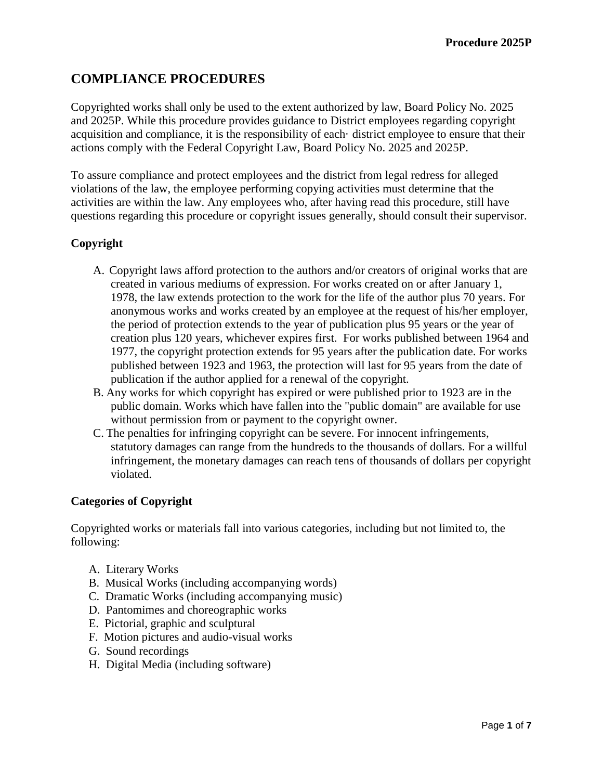# **COMPLIANCE PROCEDURES**

Copyrighted works shall only be used to the extent authorized by law, Board Policy No. 2025 and 2025P. While this procedure provides guidance to District employees regarding copyright acquisition and compliance, it is the responsibility of each· district employee to ensure that their actions comply with the Federal Copyright Law, Board Policy No. 2025 and 2025P.

To assure compliance and protect employees and the district from legal redress for alleged violations of the law, the employee performing copying activities must determine that the activities are within the law. Any employees who, after having read this procedure, still have questions regarding this procedure or copyright issues generally, should consult their supervisor.

# **Copyright**

- A. Copyright laws afford protection to the authors and/or creators of original works that are created in various mediums of expression. For works created on or after January 1, 1978, the law extends protection to the work for the life of the author plus 70 years. For anonymous works and works created by an employee at the request of his/her employer, the period of protection extends to the year of publication plus 95 years or the year of creation plus 120 years, whichever expires first. For works published between 1964 and 1977, the copyright protection extends for 95 years after the publication date. For works published between 1923 and 1963, the protection will last for 95 years from the date of publication if the author applied for a renewal of the copyright.
- B. Any works for which copyright has expired or were published prior to 1923 are in the public domain. Works which have fallen into the "public domain" are available for use without permission from or payment to the copyright owner.
- C. The penalties for infringing copyright can be severe. For innocent infringements, statutory damages can range from the hundreds to the thousands of dollars. For a willful infringement, the monetary damages can reach tens of thousands of dollars per copyright violated.

### **Categories of Copyright**

Copyrighted works or materials fall into various categories, including but not limited to, the following:

- A. Literary Works
- B. Musical Works (including accompanying words)
- C. Dramatic Works (including accompanying music)
- D. Pantomimes and choreographic works
- E. Pictorial, graphic and sculptural
- F. Motion pictures and audio-visual works
- G. Sound recordings
- H. Digital Media (including software)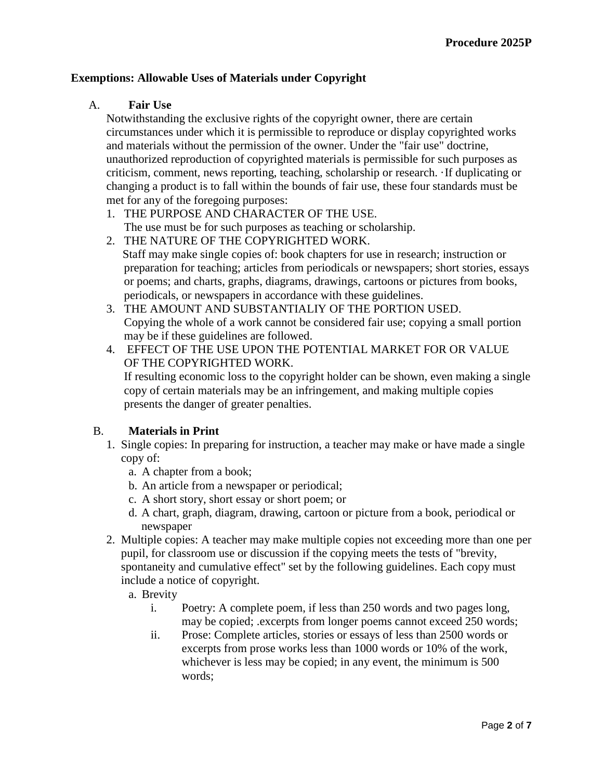### **Exemptions: Allowable Uses of Materials under Copyright**

#### A. **Fair Use**

Notwithstanding the exclusive rights of the copyright owner, there are certain circumstances under which it is permissible to reproduce or display copyrighted works and materials without the permission of the owner. Under the "fair use" doctrine, unauthorized reproduction of copyrighted materials is permissible for such purposes as criticism, comment, news reporting, teaching, scholarship or research. ·If duplicating or changing a product is to fall within the bounds of fair use, these four standards must be met for any of the foregoing purposes:

- 1. THE PURPOSE AND CHARACTER OF THE USE. The use must be for such purposes as teaching or scholarship.
- 2. THE NATURE OF THE COPYRIGHTED WORK. Staff may make single copies of: book chapters for use in research; instruction or preparation for teaching; articles from periodicals or newspapers; short stories, essays or poems; and charts, graphs, diagrams, drawings, cartoons or pictures from books, periodicals, or newspapers in accordance with these guidelines.
- 3. THE AMOUNT AND SUBSTANTIALIY OF THE PORTION USED. Copying the whole of a work cannot be considered fair use; copying a small portion may be if these guidelines are followed.
- 4. EFFECT OF THE USE UPON THE POTENTIAL MARKET FOR OR VALUE OF THE COPYRIGHTED WORK.

 If resulting economic loss to the copyright holder can be shown, even making a single copy of certain materials may be an infringement, and making multiple copies presents the danger of greater penalties.

### B. **Materials in Print**

- 1. Single copies: In preparing for instruction, a teacher may make or have made a single copy of:
	- a. A chapter from a book;
	- b. An article from a newspaper or periodical;
	- c. A short story, short essay or short poem; or
	- d. A chart, graph, diagram, drawing, cartoon or picture from a book, periodical or newspaper
- 2. Multiple copies: A teacher may make multiple copies not exceeding more than one per pupil, for classroom use or discussion if the copying meets the tests of "brevity, spontaneity and cumulative effect" set by the following guidelines. Each copy must include a notice of copyright.
	- a. Brevity
		- i. Poetry: A complete poem, if less than 250 words and two pages long, may be copied; .excerpts from longer poems cannot exceed 250 words;
		- ii. Prose: Complete articles, stories or essays of less than 2500 words or excerpts from prose works less than 1000 words or 10% of the work, whichever is less may be copied; in any event, the minimum is 500 words;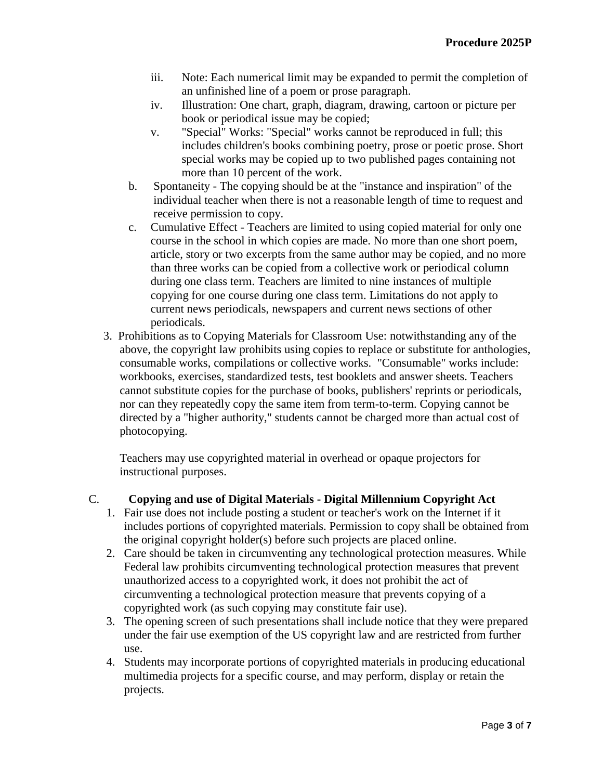- iii. Note: Each numerical limit may be expanded to permit the completion of an unfinished line of a poem or prose paragraph.
- iv. Illustration: One chart, graph, diagram, drawing, cartoon or picture per book or periodical issue may be copied;
- v. "Special" Works: "Special" works cannot be reproduced in full; this includes children's books combining poetry, prose or poetic prose. Short special works may be copied up to two published pages containing not more than 10 percent of the work.
- b. Spontaneity The copying should be at the "instance and inspiration" of the individual teacher when there is not a reasonable length of time to request and receive permission to copy.
- c. Cumulative Effect Teachers are limited to using copied material for only one course in the school in which copies are made. No more than one short poem, article, story or two excerpts from the same author may be copied, and no more than three works can be copied from a collective work or periodical column during one class term. Teachers are limited to nine instances of multiple copying for one course during one class term. Limitations do not apply to current news periodicals, newspapers and current news sections of other periodicals.
- 3. Prohibitions as to Copying Materials for Classroom Use: notwithstanding any of the above, the copyright law prohibits using copies to replace or substitute for anthologies, consumable works, compilations or collective works. "Consumable" works include: workbooks, exercises, standardized tests, test booklets and answer sheets. Teachers cannot substitute copies for the purchase of books, publishers' reprints or periodicals, nor can they repeatedly copy the same item from term-to-term. Copying cannot be directed by a "higher authority," students cannot be charged more than actual cost of photocopying.

Teachers may use copyrighted material in overhead or opaque projectors for instructional purposes.

# C. **Copying and use of Digital Materials - Digital Millennium Copyright Act**

- 1. Fair use does not include posting a student or teacher's work on the Internet if it includes portions of copyrighted materials. Permission to copy shall be obtained from the original copyright holder(s) before such projects are placed online.
- 2. Care should be taken in circumventing any technological protection measures. While Federal law prohibits circumventing technological protection measures that prevent unauthorized access to a copyrighted work, it does not prohibit the act of circumventing a technological protection measure that prevents copying of a copyrighted work (as such copying may constitute fair use).
- 3. The opening screen of such presentations shall include notice that they were prepared under the fair use exemption of the US copyright law and are restricted from further use.
- 4. Students may incorporate portions of copyrighted materials in producing educational multimedia projects for a specific course, and may perform, display or retain the projects.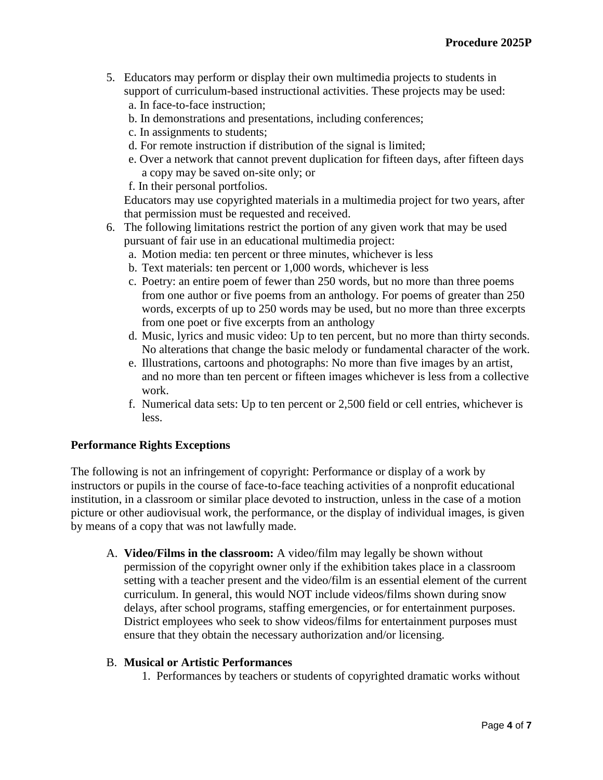- 5. Educators may perform or display their own multimedia projects to students in support of curriculum-based instructional activities. These projects may be used: a. In face-to-face instruction;
	- b. In demonstrations and presentations, including conferences;
	- c. In assignments to students;
	- d. For remote instruction if distribution of the signal is limited;
	- e. Over a network that cannot prevent duplication for fifteen days, after fifteen days a copy may be saved on-site only; or
	- f. In their personal portfolios.

 Educators may use copyrighted materials in a multimedia project for two years, after that permission must be requested and received.

- 6. The following limitations restrict the portion of any given work that may be used pursuant of fair use in an educational multimedia project:
	- a. Motion media: ten percent or three minutes, whichever is less
	- b. Text materials: ten percent or 1,000 words, whichever is less
	- c. Poetry: an entire poem of fewer than 250 words, but no more than three poems from one author or five poems from an anthology. For poems of greater than 250 words, excerpts of up to 250 words may be used, but no more than three excerpts from one poet or five excerpts from an anthology
	- d. Music, lyrics and music video: Up to ten percent, but no more than thirty seconds. No alterations that change the basic melody or fundamental character of the work.
	- e. Illustrations, cartoons and photographs: No more than five images by an artist, and no more than ten percent or fifteen images whichever is less from a collective work.
	- f. Numerical data sets: Up to ten percent or 2,500 field or cell entries, whichever is less.

### **Performance Rights Exceptions**

The following is not an infringement of copyright: Performance or display of a work by instructors or pupils in the course of face-to-face teaching activities of a nonprofit educational institution, in a classroom or similar place devoted to instruction, unless in the case of a motion picture or other audiovisual work, the performance, or the display of individual images, is given by means of a copy that was not lawfully made.

A. **Video/Films in the classroom:** A video/film may legally be shown without permission of the copyright owner only if the exhibition takes place in a classroom setting with a teacher present and the video/film is an essential element of the current curriculum. In general, this would NOT include videos/films shown during snow delays, after school programs, staffing emergencies, or for entertainment purposes. District employees who seek to show videos/films for entertainment purposes must ensure that they obtain the necessary authorization and/or licensing.

#### B. **Musical or Artistic Performances**

1. Performances by teachers or students of copyrighted dramatic works without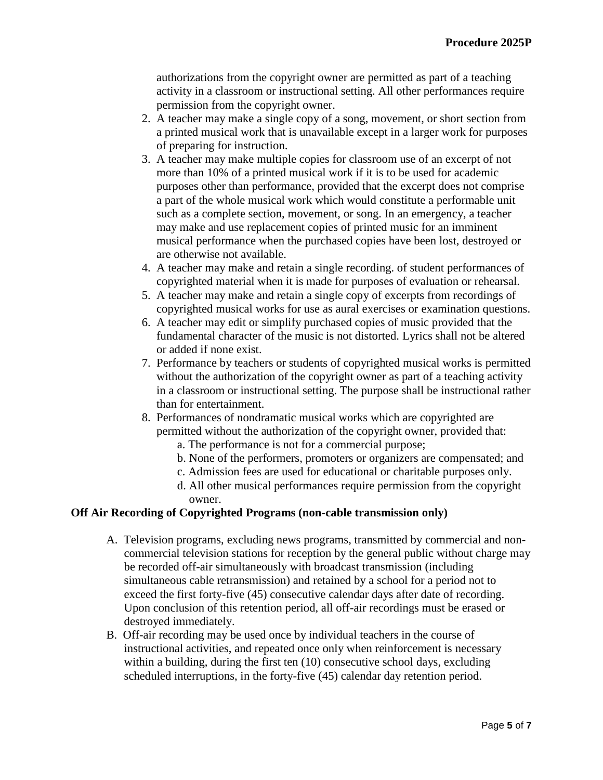authorizations from the copyright owner are permitted as part of a teaching activity in a classroom or instructional setting. All other performances require permission from the copyright owner.

- 2. A teacher may make a single copy of a song, movement, or short section from a printed musical work that is unavailable except in a larger work for purposes of preparing for instruction.
- 3. A teacher may make multiple copies for classroom use of an excerpt of not more than 10% of a printed musical work if it is to be used for academic purposes other than performance, provided that the excerpt does not comprise a part of the whole musical work which would constitute a performable unit such as a complete section, movement, or song. In an emergency, a teacher may make and use replacement copies of printed music for an imminent musical performance when the purchased copies have been lost, destroyed or are otherwise not available.
- 4. A teacher may make and retain a single recording. of student performances of copyrighted material when it is made for purposes of evaluation or rehearsal.
- 5. A teacher may make and retain a single copy of excerpts from recordings of copyrighted musical works for use as aural exercises or examination questions.
- 6. A teacher may edit or simplify purchased copies of music provided that the fundamental character of the music is not distorted. Lyrics shall not be altered or added if none exist.
- 7. Performance by teachers or students of copyrighted musical works is permitted without the authorization of the copyright owner as part of a teaching activity in a classroom or instructional setting. The purpose shall be instructional rather than for entertainment.
- 8. Performances of nondramatic musical works which are copyrighted are permitted without the authorization of the copyright owner, provided that:
	- a. The performance is not for a commercial purpose;
	- b. None of the performers, promoters or organizers are compensated; and
	- c. Admission fees are used for educational or charitable purposes only.
	- d. All other musical performances require permission from the copyright owner.

### **Off Air Recording of Copyrighted Programs (non-cable transmission only)**

- A. Television programs, excluding news programs, transmitted by commercial and noncommercial television stations for reception by the general public without charge may be recorded off-air simultaneously with broadcast transmission (including simultaneous cable retransmission) and retained by a school for a period not to exceed the first forty-five (45) consecutive calendar days after date of recording. Upon conclusion of this retention period, all off-air recordings must be erased or destroyed immediately.
- B. Off-air recording may be used once by individual teachers in the course of instructional activities, and repeated once only when reinforcement is necessary within a building, during the first ten (10) consecutive school days, excluding scheduled interruptions, in the forty-five (45) calendar day retention period.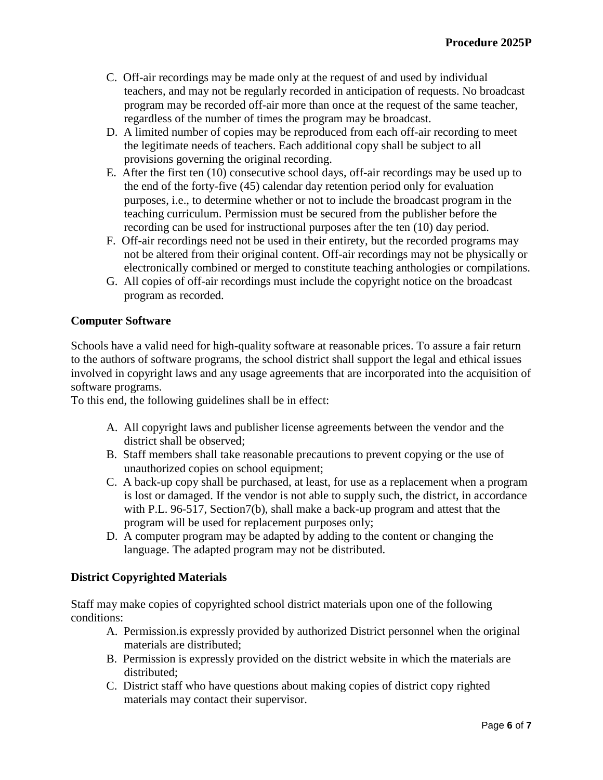- C. Off-air recordings may be made only at the request of and used by individual teachers, and may not be regularly recorded in anticipation of requests. No broadcast program may be recorded off-air more than once at the request of the same teacher, regardless of the number of times the program may be broadcast.
- D. A limited number of copies may be reproduced from each off-air recording to meet the legitimate needs of teachers. Each additional copy shall be subject to all provisions governing the original recording.
- E. After the first ten (10) consecutive school days, off-air recordings may be used up to the end of the forty-five (45) calendar day retention period only for evaluation purposes, i.e., to determine whether or not to include the broadcast program in the teaching curriculum. Permission must be secured from the publisher before the recording can be used for instructional purposes after the ten (10) day period.
- F. Off-air recordings need not be used in their entirety, but the recorded programs may not be altered from their original content. Off-air recordings may not be physically or electronically combined or merged to constitute teaching anthologies or compilations.
- G. All copies of off-air recordings must include the copyright notice on the broadcast program as recorded.

### **Computer Software**

Schools have a valid need for high-quality software at reasonable prices. To assure a fair return to the authors of software programs, the school district shall support the legal and ethical issues involved in copyright laws and any usage agreements that are incorporated into the acquisition of software programs.

To this end, the following guidelines shall be in effect:

- A. All copyright laws and publisher license agreements between the vendor and the district shall be observed;
- B. Staff members shall take reasonable precautions to prevent copying or the use of unauthorized copies on school equipment;
- C. A back-up copy shall be purchased, at least, for use as a replacement when a program is lost or damaged. If the vendor is not able to supply such, the district, in accordance with P.L. 96-517, Section 7(b), shall make a back-up program and attest that the program will be used for replacement purposes only;
- D. A computer program may be adapted by adding to the content or changing the language. The adapted program may not be distributed.

### **District Copyrighted Materials**

Staff may make copies of copyrighted school district materials upon one of the following conditions:

- A. Permission.is expressly provided by authorized District personnel when the original materials are distributed;
- B. Permission is expressly provided on the district website in which the materials are distributed;
- C. District staff who have questions about making copies of district copy righted materials may contact their supervisor.